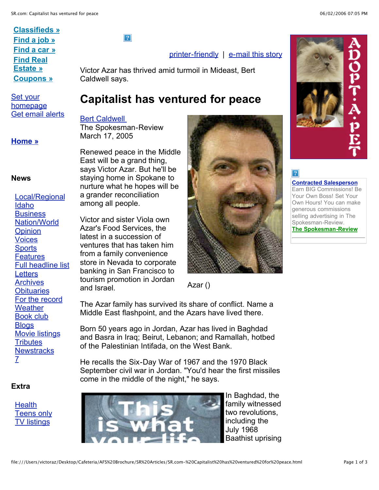## **Classifieds » Find a job » Find a car » Find Real Estate » Coupons »**

Set your homepage Get email alerts

#### **Home »**

#### **News**

Local/Regional Idaho **Business** Nation/World **Opinion** Voices **Sports Features** Full headline list **Letters Archives Obituaries** For the record **Weather** Book club **Blogs** Movie listings **Tributes Newstracks** 7

#### **Extra**

**Health** Teens only TV listings

 $|2|$ 

### printer-friendly | e-mail this story

Victor Azar has thrived amid turmoil in Mideast, Bert Caldwell says.

# **Capitalist has ventured for peace**

#### Bert Caldwell

The Spokesman-Review March 17, 2005

Renewed peace in the Middle East will be a grand thing, says Victor Azar. But he'll be staying home in Spokane to nurture what he hopes will be a grander reconciliation among all people.

Victor and sister Viola own Azar's Food Services, the latest in a succession of ventures that has taken him from a family convenience store in Nevada to corporate banking in San Francisco to tourism promotion in Jordan and Israel.



Azar ()

The Azar family has survived its share of conflict. Name a Middle East flashpoint, and the Azars have lived there.

Born 50 years ago in Jordan, Azar has lived in Baghdad and Basra in Iraq; Beirut, Lebanon; and Ramallah, hotbed of the Palestinian Intifada, on the West Bank.

He recalls the Six-Day War of 1967 and the 1970 Black September civil war in Jordan. "You'd hear the first missiles come in the middle of the night," he says.



In Baghdad, the family witnessed two revolutions, including the July 1968 Baathist uprising



**Contracted Salesperson** Earn BIG Commissions! Be Your Own Boss! Set Your Own Hours! You can make generous commissions selling advertising in The Spokesman-Review. **The Spokesman-Review**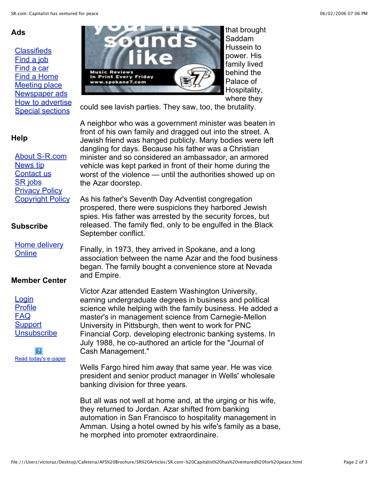### **Ads**

**Classifieds** Find a job Find a car Find a Home Meeting place Newspaper ads How to advertise Special sections

#### that brought Saddam Tnd Hussein to power. His family lived behind the **Ausic Reviews** rint Every Palace of www.spokane7.com Hospitality, where they

could see lavish parties. They saw, too, the brutality.

**Help** About S-R.com News tip Contact us SR jobs **Privacy Policy** Copyright Policy

#### **Subscribe**

Home delivery **Online** 

#### **Member Center**

**Login** Profile FAQ **Support Unsubscribe** 

2 Read today's e-paper A neighbor who was a government minister was beaten in front of his own family and dragged out into the street. A Jewish friend was hanged publicly. Many bodies were left dangling for days. Because his father was a Christian minister and so considered an ambassador, an armored vehicle was kept parked in front of their home during the worst of the violence — until the authorities showed up on the Azar doorstep.

As his father's Seventh Day Adventist congregation prospered, there were suspicions they harbored Jewish spies. His father was arrested by the security forces, but released. The family fled, only to be engulfed in the Black September conflict.

Finally, in 1973, they arrived in Spokane, and a long association between the name Azar and the food business began. The family bought a convenience store at Nevada and Empire.

Victor Azar attended Eastern Washington University, earning undergraduate degrees in business and political science while helping with the family business. He added a master's in management science from Carnegie-Mellon University in Pittsburgh, then went to work for PNC Financial Corp. developing electronic banking systems. In July 1988, he co-authored an article for the "Journal of Cash Management."

Wells Fargo hired him away that same year. He was vice president and senior product manager in Wells' wholesale banking division for three years.

But all was not well at home and, at the urging or his wife, they returned to Jordan. Azar shifted from banking automation in San Francisco to hospitality management in Amman. Using a hotel owned by his wife's family as a base, he morphed into promoter extraordinaire.